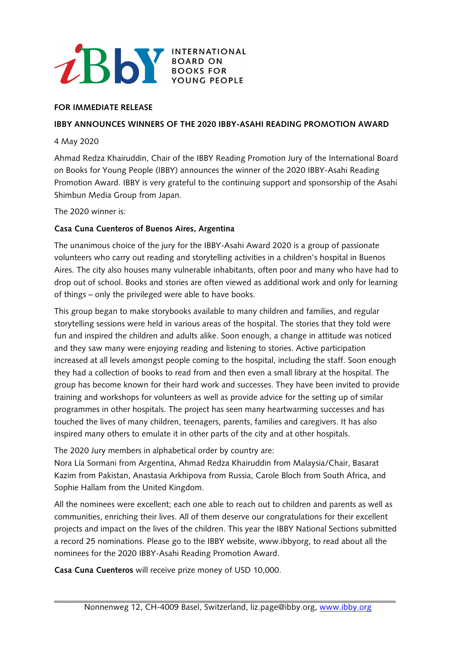

## **FOR IMMEDIATE RELEASE**

## **IBBY ANNOUNCES WINNERS OF THE 2020 IBBY-ASAHI READING PROMOTION AWARD**

## 4 May 2020

Ahmad Redza Khairuddin, Chair of the IBBY Reading Promotion Jury of the International Board on Books for Young People (IBBY) announces the winner of the 2020 IBBY-Asahi Reading Promotion Award. IBBY is very grateful to the continuing support and sponsorship of the Asahi Shimbun Media Group from Japan.

## The 2020 winner is:

# **Casa Cuna Cuenteros of Buenos Aires, Argentina**

The unanimous choice of the jury for the IBBY-Asahi Award 2020 is a group of passionate volunteers who carry out reading and storytelling activities in a children's hospital in Buenos Aires. The city also houses many vulnerable inhabitants, often poor and many who have had to drop out of school. Books and stories are often viewed as additional work and only for learning of things – only the privileged were able to have books.

This group began to make storybooks available to many children and families, and regular storytelling sessions were held in various areas of the hospital. The stories that they told were fun and inspired the children and adults alike. Soon enough, a change in attitude was noticed and they saw many were enjoying reading and listening to stories. Active participation increased at all levels amongst people coming to the hospital, including the staff. Soon enough they had a collection of books to read from and then even a small library at the hospital. The group has become known for their hard work and successes. They have been invited to provide training and workshops for volunteers as well as provide advice for the setting up of similar programmes in other hospitals. The project has seen many heartwarming successes and has touched the lives of many children, teenagers, parents, families and caregivers. It has also inspired many others to emulate it in other parts of the city and at other hospitals.

The 2020 Jury members in alphabetical order by country are:

Nora Lía Sormani from Argentina, Ahmad Redza Khairuddin from Malaysia/Chair, Basarat Kazim from Pakistan, Anastasia Arkhipova from Russia, Carole Bloch from South Africa, and Sophie Hallam from the United Kingdom.

All the nominees were excellent; each one able to reach out to children and parents as well as communities, enriching their lives. All of them deserve our congratulations for their excellent projects and impact on the lives of the children. This year the IBBY National Sections submitted a record 25 nominations. Please go to the IBBY website, www.ibbyorg, to read about all the nominees for the 2020 IBBY-Asahi Reading Promotion Award.

**Casa Cuna Cuenteros** will receive prize money of USD 10,000.